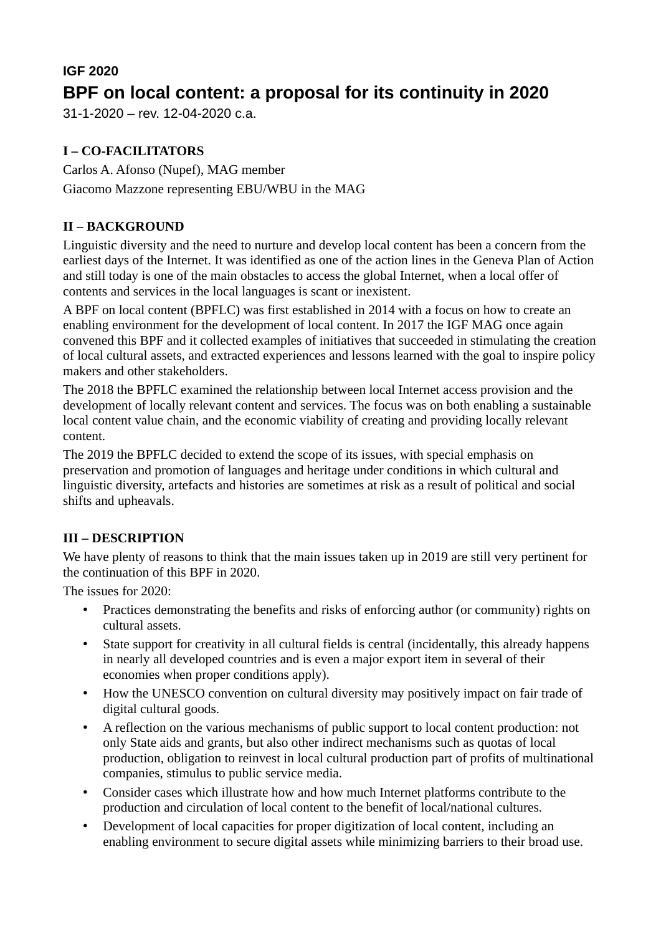# **IGF 2020 BPF on local content: a proposal for its continuity in 2020**

31-1-2020 – rev. 12-04-2020 c.a.

## **I – CO-FACILITATORS**

Carlos A. Afonso (Nupef), MAG member Giacomo Mazzone representing EBU/WBU in the MAG

### **II – BACKGROUND**

Linguistic diversity and the need to nurture and develop local content has been a concern from the earliest days of the Internet. It was identified as one of the action lines in the Geneva Plan of Action and still today is one of the main obstacles to access the global Internet, when a local offer of contents and services in the local languages is scant or inexistent.

A BPF on local content (BPFLC) was first established in 2014 with a focus on how to create an enabling environment for the development of local content. In 2017 the IGF MAG once again convened this BPF and it collected examples of initiatives that succeeded in stimulating the creation of local cultural assets, and extracted experiences and lessons learned with the goal to inspire policy makers and other stakeholders.

The 2018 the BPFLC examined the relationship between local Internet access provision and the development of locally relevant content and services. The focus was on both enabling a sustainable local content value chain, and the economic viability of creating and providing locally relevant content.

The 2019 the BPFLC decided to extend the scope of its issues, with special emphasis on preservation and promotion of languages and heritage under conditions in which cultural and linguistic diversity, artefacts and histories are sometimes at risk as a result of political and social shifts and upheavals.

#### **III – DESCRIPTION**

We have plenty of reasons to think that the main issues taken up in 2019 are still very pertinent for the continuation of this BPF in 2020.

The issues for 2020:

- Practices demonstrating the benefits and risks of enforcing author (or community) rights on cultural assets.
- State support for creativity in all cultural fields is central (incidentally, this already happens in nearly all developed countries and is even a major export item in several of their economies when proper conditions apply).
- How the UNESCO convention on cultural diversity may positively impact on fair trade of digital cultural goods.
- A reflection on the various mechanisms of public support to local content production: not only State aids and grants, but also other indirect mechanisms such as quotas of local production, obligation to reinvest in local cultural production part of profits of multinational companies, stimulus to public service media.
- Consider cases which illustrate how and how much Internet platforms contribute to the production and circulation of local content to the benefit of local/national cultures.
- Development of local capacities for proper digitization of local content, including an enabling environment to secure digital assets while minimizing barriers to their broad use.